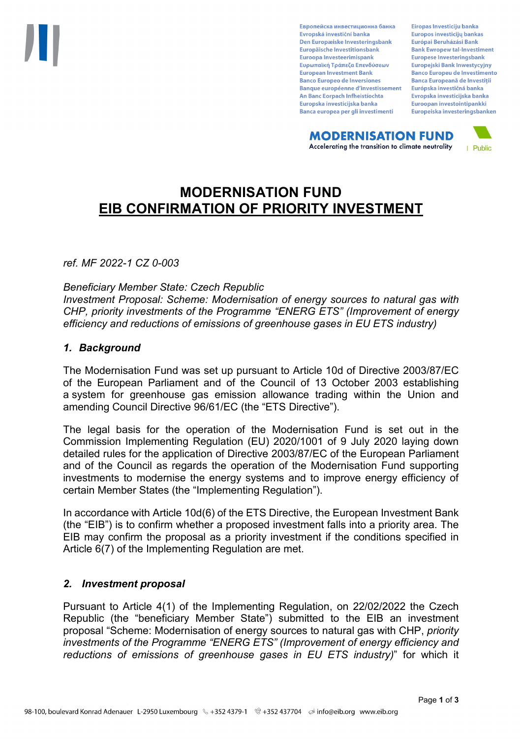Европейска инвестиционна банка Evropská investiční banka Den Europæiske Investeringsbank Europäische Investitionsbank Euroopa Investeerimispank Ευρωπαϊκή Τράπεζα Επενδύσεων **European Investment Bank Banco Europeo de Inversiones Banque européenne d'investissement** An Banc Eorpach Infheistíochta Europska investicijska banka Banca europea per gli investimenti

Eiropas Investīciju banka Europos investicijų bankas Európai Beruházási Bank **Bank Ewropew tal-Investiment** Europese Investeringsbank **Europeiski Bank Inwestycviny Banco Europeu de Investimento Banca Europeană de Investiții** Európska investičná banka Evropska investicijska banka Euroopan investointipankki Europeiska investeringsbanken

**MODERNISATION FUND** Accelerating the transition to climate neutrality



# **MODERNISATION FUND EIB CONFIRMATION OF PRIORITY INVESTMENT**

*ref. MF 2022-1 CZ 0-003*

*Beneficiary Member State: Czech Republic Investment Proposal: Scheme: Modernisation of energy sources to natural gas with CHP, priority investments of the Programme "ENERG ETS" (Improvement of energy efficiency and reductions of emissions of greenhouse gases in EU ETS industry)*

## *1. Background*

The Modernisation Fund was set up pursuant to Article 10d of Directive 2003/87/EC of the European Parliament and of the Council of 13 October 2003 establishing a system for greenhouse gas emission allowance trading within the Union and amending Council Directive 96/61/EC (the "ETS Directive").

The legal basis for the operation of the Modernisation Fund is set out in the Commission Implementing Regulation (EU) 2020/1001 of 9 July 2020 laying down detailed rules for the application of Directive 2003/87/EC of the European Parliament and of the Council as regards the operation of the Modernisation Fund supporting investments to modernise the energy systems and to improve energy efficiency of certain Member States (the "Implementing Regulation").

In accordance with Article 10d(6) of the ETS Directive, the European Investment Bank (the "EIB") is to confirm whether a proposed investment falls into a priority area. The EIB may confirm the proposal as a priority investment if the conditions specified in Article 6(7) of the Implementing Regulation are met.

## *2. Investment proposal*

Pursuant to Article 4(1) of the Implementing Regulation, on 22/02/2022 the Czech Republic (the "beneficiary Member State") submitted to the EIB an investment proposal "Scheme: Modernisation of energy sources to natural gas with CHP, *priority investments of the Programme "ENERG ETS" (Improvement of energy efficiency and reductions of emissions of greenhouse gases in EU ETS industry)*" for which it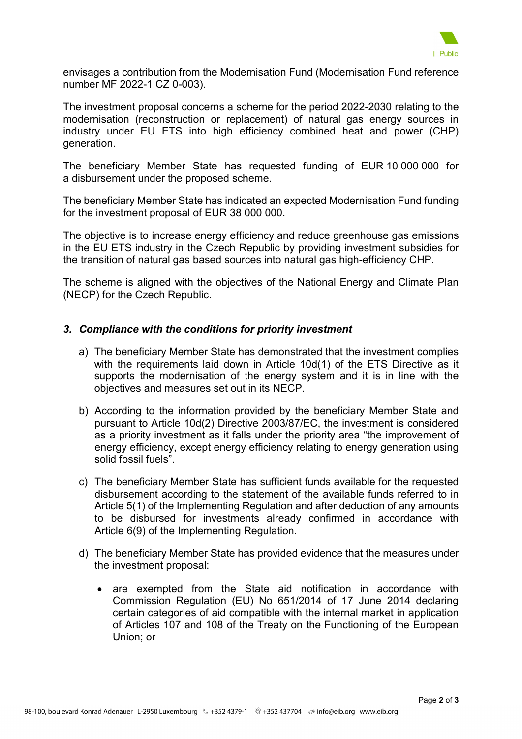

envisages a contribution from the Modernisation Fund (Modernisation Fund reference number MF 2022-1 CZ 0-003).

The investment proposal concerns a scheme for the period 2022-2030 relating to the modernisation (reconstruction or replacement) of natural gas energy sources in industry under EU ETS into high efficiency combined heat and power (CHP) generation.

The beneficiary Member State has requested funding of EUR 10 000 000 for a disbursement under the proposed scheme.

The beneficiary Member State has indicated an expected Modernisation Fund funding for the investment proposal of EUR 38 000 000.

The objective is to increase energy efficiency and reduce greenhouse gas emissions in the EU ETS industry in the Czech Republic by providing investment subsidies for the transition of natural gas based sources into natural gas high-efficiency CHP.

The scheme is aligned with the objectives of the National Energy and Climate Plan (NECP) for the Czech Republic.

## *3. Compliance with the conditions for priority investment*

- a) The beneficiary Member State has demonstrated that the investment complies with the requirements laid down in Article 10d(1) of the ETS Directive as it supports the modernisation of the energy system and it is in line with the objectives and measures set out in its NECP.
- b) According to the information provided by the beneficiary Member State and pursuant to Article 10d(2) Directive 2003/87/EC, the investment is considered as a priority investment as it falls under the priority area "the improvement of energy efficiency, except energy efficiency relating to energy generation using solid fossil fuels".
- c) The beneficiary Member State has sufficient funds available for the requested disbursement according to the statement of the available funds referred to in Article 5(1) of the Implementing Regulation and after deduction of any amounts to be disbursed for investments already confirmed in accordance with Article 6(9) of the Implementing Regulation.
- d) The beneficiary Member State has provided evidence that the measures under the investment proposal:
	- are exempted from the State aid notification in accordance with Commission Regulation (EU) No 651/2014 of 17 June 2014 declaring certain categories of aid compatible with the internal market in application of Articles 107 and 108 of the Treaty on the Functioning of the European Union; or